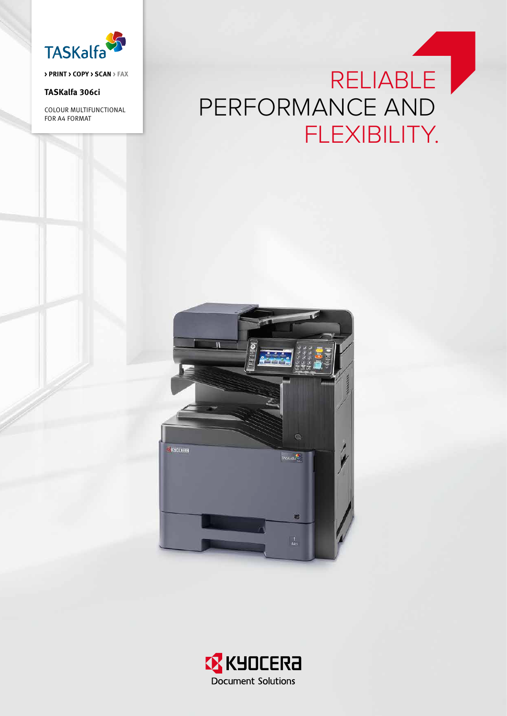

**> PRINT > COPY > SCAN > FAX**

## **TASKalfa 306ci**

Colour Multifunctional for A4 Format

# RELIABLE PERFORMANCE AND FLEXIBILITY.



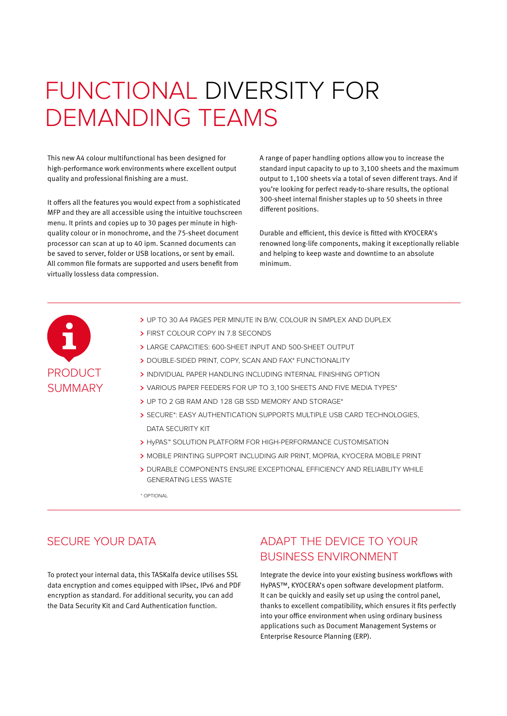# FUNCTIONAL DIVERSITY FOR DEMANDING TEAMS

This new A4 colour multifunctional has been designed for high-performance work environments where excellent output quality and professional finishing are a must.

It offers all the features you would expect from a sophisticated MFP and they are all accessible using the intuitive touchscreen menu. It prints and copies up to 30 pages per minute in highquality colour or in monochrome, and the 75-sheet document processor can scan at up to 40 ipm. Scanned documents can be saved to server, folder or USB locations, or sent by email. All common file formats are supported and users benefit from virtually lossless data compression.

A range of paper handling options allow you to increase the standard input capacity to up to 3,100 sheets and the maximum output to 1,100 sheets via a total of seven different trays. And if you're looking for perfect ready-to-share results, the optional 300-sheet internal finisher staples up to 50 sheets in three different positions.

Durable and efficient, this device is fitted with KYOCERA's renowned long-life components, making it exceptionally reliable and helping to keep waste and downtime to an absolute minimum.



- > UP TO 30 A4 PAGES PER MINUTE IN B/W, COLOUR IN SIMPLEX AND DUPLEX
- **> FIRST COLOUR COPY IN 7.8 SECONDS**
- LARGE CAPACITIES: 600-SHEET INPUT AND 500-SHEET OUTPUT
- > DOUBLE-SIDED PRINT, COPY, SCAN AND FAX\* FUNCTIONALITY
- > INDIVIDUAL PAPER HANDLING INCLUDING INTERNAL FINISHING OPTION
- VARIOUS PAPER FEEDERS FOR UP TO 3,100 SHEETS AND FIVE MEDIA TYPES\*
- > UP TO 2 GB RAM AND 128 GB SSD MEMORY AND STORAGE\*
- > SECURE\*: EASY AUTHENTICATION SUPPORTS MULTIPLE USB CARD TECHNOLOGIES, DATA SECURITY KIT
- > HyPAS™ SOLUTION PLATFORM FOR HIGH-PERFORMANCE CUSTOMISATION
- MOBILE PRINTING SUPPORT INCLUDING AIR PRINT, MOPRIA, KYOCERA MOBILE PRINT
- DURABLE COMPONENTS ENSURE EXCEPTIONAL EFFICIENCY AND RELIABILITY WHILE GENERATING LESS WASTE

\* OPTIONAL

To protect your internal data, this TASKalfa device utilises SSL data encryption and comes equipped with IPsec, IPv6 and PDF encryption as standard. For additional security, you can add the Data Security Kit and Card Authentication function.

# SECURE YOUR DATA ADAPT THE DEVICE TO YOUR BUSINESS ENVIRONMENT

Integrate the device into your existing business workflows with HyPAS™, KYOCERA's open software development platform. It can be quickly and easily set up using the control panel, thanks to excellent compatibility, which ensures it fits perfectly into your office environment when using ordinary business applications such as Document Management Systems or Enterprise Resource Planning (ERP).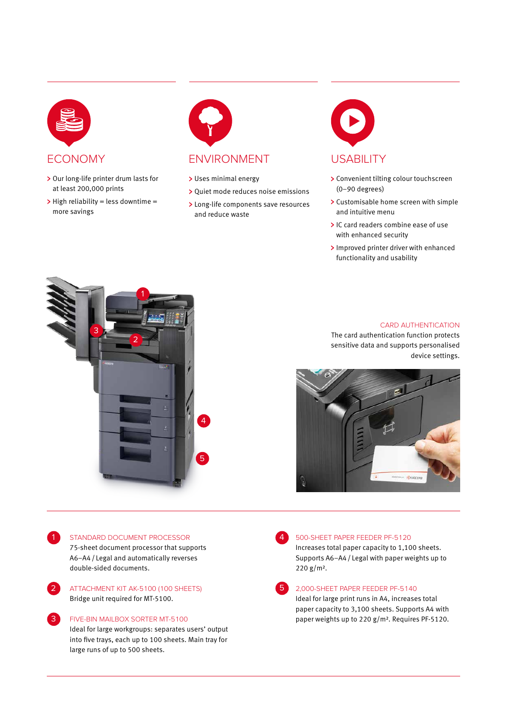

- > Our long-life printer drum lasts for at least 200,000 prints
- $\triangleright$  High reliability = less downtime = more savings



## ECONOMY ENVIRONMENT USABILITY

- > Uses minimal energy
- Quiet mode reduces noise emissions
- > Long-life components save resources and reduce waste



- > Convenient tilting colour touchscreen (0–90 degrees)
- > Customisable home screen with simple and intuitive menu
- IC card readers combine ease of use with enhanced security
- > Improved printer driver with enhanced functionality and usability



## CARD AUTHENTICATION

The card authentication function protects sensitive data and supports personalised device settings.



STANDARD DOCUMENT PROCESSOR

1

2

 $\sqrt{3}$ 

75-sheet document processor that supports A6–A4/ Legal and automatically reverses double-sided documents.

ATTACHMENT KIT AK-5100 (100 SHEETS) Bridge unit required for MT-5100.

FIVE-BIN MAILBOX SORTER MT-5100 Ideal for large workgroups: separates users' output into five trays, each up to 100 sheets. Main tray for large runs of up to 500 sheets.

4

## 500-SHEET PAPER FEEDER PF-5120

Increases total paper capacity to 1,100 sheets. Supports A6–A4/ Legal with paper weights up to 220 g/m².

5

## 2,000-SHEET PAPER FEEDER PF-5140

Ideal for large print runs in A4, increases total paper capacity to 3,100 sheets. Supports A4 with paper weights up to 220 g/m². Requires PF-5120.